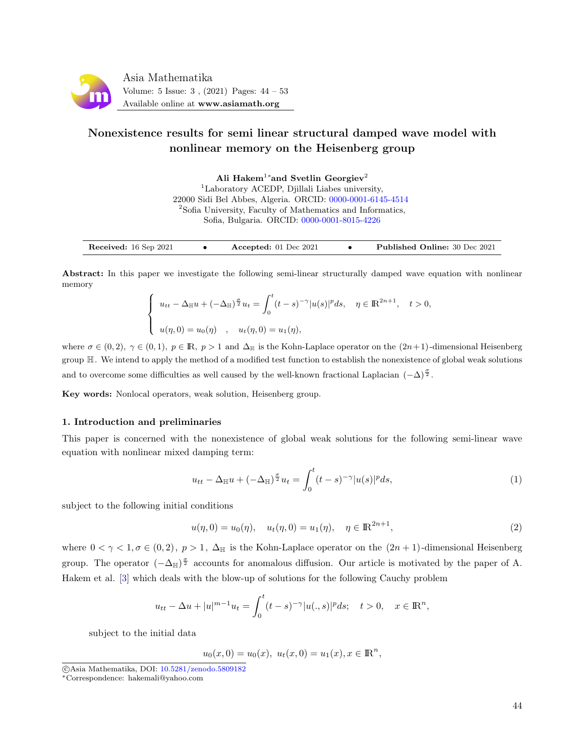

# Nonexistence results for semi linear structural damped wave model with nonlinear memory on the Heisenberg group

Ali Hakem<sup>1</sup>\*and Svetlin Georgiev<sup>2</sup> <sup>1</sup>Laboratory ACEDP, Djillali Liabes university, 22000 Sidi Bel Abbes, Algeria. ORCID: [0000-0001-6145-4514](https://orcid.org/0000-0001-6145-4514) <sup>2</sup>Sofia University, Faculty of Mathematics and Informatics, Sofia, Bulgaria. ORCID: [0000-0001-8015-4226](https://orcid.org/0000-0001-8015-4226)

| Received: 16 Sep 2021<br>Accepted: $01$ Dec $2021$ |  | <b>Published Online: 30 Dec 2021</b> |
|----------------------------------------------------|--|--------------------------------------|
|----------------------------------------------------|--|--------------------------------------|

Abstract: In this paper we investigate the following semi-linear structurally damped wave equation with nonlinear memory

$$
\begin{cases}\n u_{tt} - \Delta_{\mathbb{H}} u + (-\Delta_{\mathbb{H}})^{\frac{\sigma}{2}} u_t = \int_0^t (t - s)^{-\gamma} |u(s)|^p ds, & \eta \in \mathbb{R}^{2n+1}, \quad t > 0, \\
 u(\eta, 0) = u_0(\eta) , & u_t(\eta, 0) = u_1(\eta),\n\end{cases}
$$

where  $\sigma \in (0, 2), \gamma \in (0, 1), p \in \mathbb{R}, p > 1$  and  $\Delta_{\mathbb{H}}$  is the Kohn-Laplace operator on the  $(2n+1)$ -dimensional Heisenberg group H. We intend to apply the method of a modified test function to establish the nonexistence of global weak solutions and to overcome some difficulties as well caused by the well-known fractional Laplacian  $(-\Delta)^{\frac{\sigma}{2}}$ .

Key words: Nonlocal operators, weak solution, Heisenberg group.

# 1. Introduction and preliminaries

This paper is concerned with the nonexistence of global weak solutions for the following semi-linear wave equation with nonlinear mixed damping term:

<span id="page-0-0"></span>
$$
u_{tt} - \Delta_{\mathbb{H}}u + (-\Delta_{\mathbb{H}})^{\frac{\sigma}{2}}u_t = \int_0^t (t-s)^{-\gamma} |u(s)|^p ds, \tag{1}
$$

subject to the following initial conditions

<span id="page-0-1"></span>
$$
u(\eta,0) = u_0(\eta), \quad u_t(\eta,0) = u_1(\eta), \quad \eta \in \mathbb{R}^{2n+1},
$$
\n(2)

where  $0 < \gamma < 1, \sigma \in (0, 2), p > 1, \Delta_{\mathbb{H}}$  is the Kohn-Laplace operator on the  $(2n + 1)$ -dimensional Heisenberg group. The operator  $(-\Delta_{\mathbb{H}})^{\frac{\sigma}{2}}$  accounts for anomalous diffusion. Our article is motivated by the paper of A. Hakem et al. [\[3\]](#page-9-0) which deals with the blow-up of solutions for the following Cauchy problem

$$
u_{tt} - \Delta u + |u|^{m-1}u_t = \int_0^t (t-s)^{-\gamma} |u(.,s)|^p ds; \quad t > 0, \quad x \in \mathbb{R}^n,
$$

subject to the initial data

 $u_0(x, 0) = u_0(x), u_t(x, 0) = u_1(x), x \in \mathbb{R}^n,$ 

c Asia Mathematika, DOI: [10.5281/zenodo.5809182](http://www.asiamath.org/article/vol5iss3/AM-2112-3001.pdf)

<sup>∗</sup>Correspondence: hakemali@yahoo.com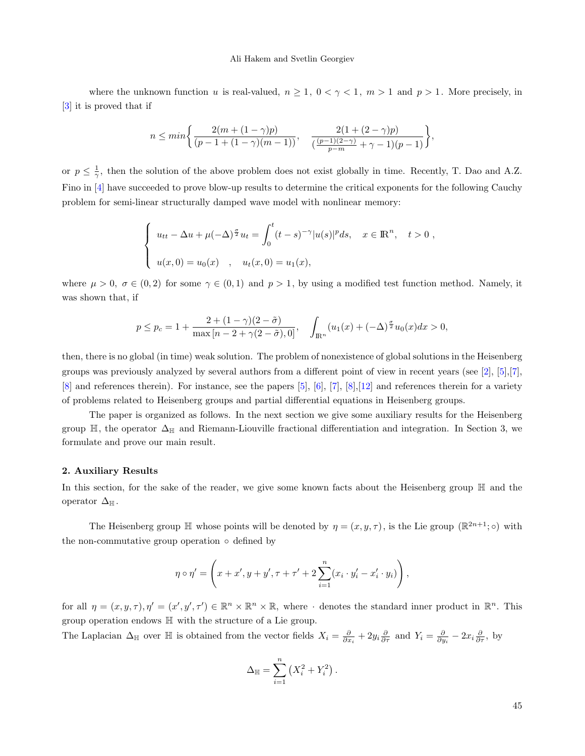#### Ali Hakem and Svetlin Georgiev

where the unknown function u is real-valued,  $n \geq 1$ ,  $0 < \gamma < 1$ ,  $m > 1$  and  $p > 1$ . More precisely, in [\[3\]](#page-9-0) it is proved that if

$$
n \leq \min \biggl\{ \frac{2 (m + (1 - \gamma)p)}{(p - 1 + (1 - \gamma)(m - 1))}, \quad \frac{2 (1 + (2 - \gamma)p)}{\left(\frac{(p - 1)(2 - \gamma)}{p - m} + \gamma - 1\right)(p - 1)} \biggr\},
$$

or  $p \leq \frac{1}{\gamma}$ , then the solution of the above problem does not exist globally in time. Recently, T. Dao and A.Z. Fino in [\[4\]](#page-9-1) have succeeded to prove blow-up results to determine the critical exponents for the following Cauchy problem for semi-linear structurally damped wave model with nonlinear memory:

$$
\begin{cases}\nu_{tt} - \Delta u + \mu(-\Delta)^{\frac{\sigma}{2}} u_t = \int_0^t (t-s)^{-\gamma} |u(s)|^p ds, & x \in \mathbb{R}^n, \quad t > 0 , \\
u(x, 0) = u_0(x) , & u_t(x, 0) = u_1(x),\n\end{cases}
$$

where  $\mu > 0$ ,  $\sigma \in (0, 2)$  for some  $\gamma \in (0, 1)$  and  $p > 1$ , by using a modified test function method. Namely, it was shown that, if

$$
p \le p_c = 1 + \frac{2 + (1 - \gamma)(2 - \tilde{\sigma})}{\max\left[n - 2 + \gamma(2 - \tilde{\sigma}), 0\right]}, \quad \int_{\mathbb{R}^n} (u_1(x) + (-\Delta)^{\frac{\sigma}{2}} u_0(x) dx > 0,
$$

then, there is no global (in time) weak solution. The problem of nonexistence of global solutions in the Heisenberg groups was previously analyzed by several authors from a different point of view in recent years (see [\[2\]](#page-9-2), [\[5\]](#page-9-3),[\[7\]](#page-9-4),  $[8]$  and references therein). For instance, see the papers  $[5]$ ,  $[6]$ ,  $[7]$ ,  $[8]$ ,  $[12]$  and references therein for a variety of problems related to Heisenberg groups and partial differential equations in Heisenberg groups.

The paper is organized as follows. In the next section we give some auxiliary results for the Heisenberg group  $\mathbb{H}$ , the operator  $\Delta_{\mathbb{H}}$  and Riemann-Liouville fractional differentiation and integration. In Section 3, we formulate and prove our main result.

#### 2. Auxiliary Results

In this section, for the sake of the reader, we give some known facts about the Heisenberg group H and the operator  $\Delta_{\mathbb{H}}$ .

The Heisenberg group  $\mathbb H$  whose points will be denoted by  $\eta = (x, y, \tau)$ , is the Lie group  $(\mathbb R^{2n+1}; \circ)$  with the non-commutative group operation  $\circ$  defined by

$$
\eta \circ \eta' = \left( x + x', y + y', \tau + \tau' + 2 \sum_{i=1}^{n} (x_i \cdot y'_i - x'_i \cdot y_i) \right),
$$

for all  $\eta = (x, y, \tau), \eta' = (x', y', \tau') \in \mathbb{R}^n \times \mathbb{R}^n \times \mathbb{R}$ , where  $\cdot$  denotes the standard inner product in  $\mathbb{R}^n$ . This group operation endows H with the structure of a Lie group.

The Laplacian  $\Delta_{\mathbb{H}}$  over  $\mathbb{H}$  is obtained from the vector fields  $X_i = \frac{\partial}{\partial x_i} + 2y_i \frac{\partial}{\partial \tau}$  and  $Y_i = \frac{\partial}{\partial y_i} - 2x_i \frac{\partial}{\partial \tau}$ , by

$$
\Delta_{\mathbb{H}} = \sum_{i=1}^{n} (X_i^2 + Y_i^2).
$$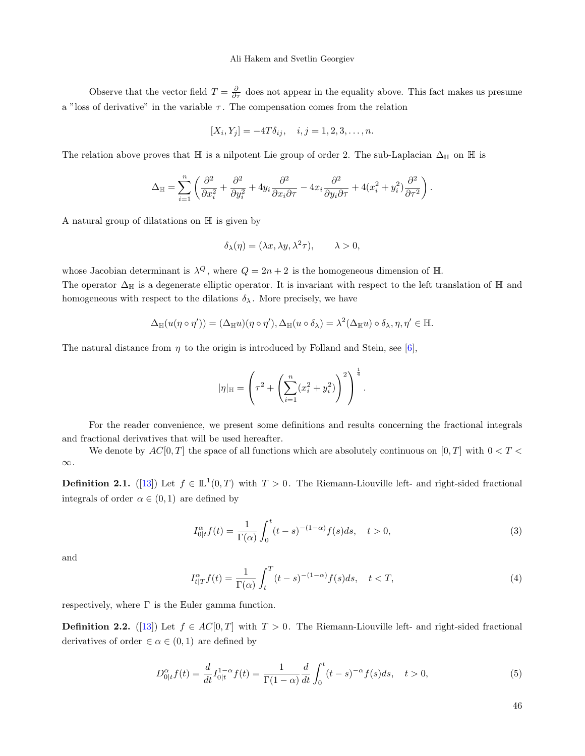#### Ali Hakem and Svetlin Georgiev

Observe that the vector field  $T = \frac{\partial}{\partial \tau}$  does not appear in the equality above. This fact makes us presume a "loss of derivative" in the variable  $\tau$ . The compensation comes from the relation

$$
[X_i, Y_j] = -4T\delta_{ij}, \quad i, j = 1, 2, 3, \dots, n.
$$

The relation above proves that H is a nilpotent Lie group of order 2. The sub-Laplacian  $\Delta_H$  on H is

$$
\Delta_{\mathbb{H}} = \sum_{i=1}^n \left( \frac{\partial^2}{\partial x_i^2} + \frac{\partial^2}{\partial y_i^2} + 4 y_i \frac{\partial^2}{\partial x_i \partial \tau} - 4 x_i \frac{\partial^2}{\partial y_i \partial \tau} + 4 (x_i^2 + y_i^2) \frac{\partial^2}{\partial \tau^2} \right).
$$

A natural group of dilatations on H is given by

$$
\delta_{\lambda}(\eta) = (\lambda x, \lambda y, \lambda^2 \tau), \qquad \lambda > 0,
$$

whose Jacobian determinant is  $\lambda^Q$ , where  $Q = 2n + 2$  is the homogeneous dimension of H.

The operator  $\Delta_H$  is a degenerate elliptic operator. It is invariant with respect to the left translation of H and homogeneous with respect to the dilations  $\delta_{\lambda}$ . More precisely, we have

$$
\Delta_{\mathbb{H}}(u(\eta \circ \eta')) = (\Delta_{\mathbb{H}}u)(\eta \circ \eta'), \Delta_{\mathbb{H}}(u \circ \delta_{\lambda}) = \lambda^2(\Delta_{\mathbb{H}}u) \circ \delta_{\lambda}, \eta, \eta' \in \mathbb{H}.
$$

The natural distance from  $\eta$  to the origin is introduced by Folland and Stein, see [\[6\]](#page-9-6),

$$
|\eta|_{\mathbb{H}} = \left(\tau^2 + \left(\sum_{i=1}^n (x_i^2 + y_i^2)\right)^2\right)^{\frac{1}{4}}
$$

For the reader convenience, we present some definitions and results concerning the fractional integrals and fractional derivatives that will be used hereafter.

We denote by  $AC[0, T]$  the space of all functions which are absolutely continuous on  $[0, T]$  with  $0 < T <$  $\infty$  .

**Definition 2.1.** ([\[13\]](#page-9-8)) Let  $f \in L^1(0,T)$  with  $T > 0$ . The Riemann-Liouville left- and right-sided fractional integrals of order  $\alpha \in (0,1)$  are defined by

$$
I_{0|t}^{\alpha} f(t) = \frac{1}{\Gamma(\alpha)} \int_0^t (t - s)^{-(1 - \alpha)} f(s) ds, \quad t > 0,
$$
\n(3)

.

and

$$
I_{t|T}^{\alpha}f(t) = \frac{1}{\Gamma(\alpha)} \int_{t}^{T} (t-s)^{-(1-\alpha)} f(s)ds, \quad t < T,
$$
\n<sup>(4)</sup>

respectively, where  $\Gamma$  is the Euler gamma function.

**Definition 2.2.** ([\[13\]](#page-9-8)) Let  $f \in AC[0,T]$  with  $T > 0$ . The Riemann-Liouville left- and right-sided fractional derivatives of order  $\in \alpha \in (0,1)$  are defined by

$$
D_{0|t}^{\alpha} f(t) = \frac{d}{dt} I_{0|t}^{1-\alpha} f(t) = \frac{1}{\Gamma(1-\alpha)} \frac{d}{dt} \int_0^t (t-s)^{-\alpha} f(s) ds, \quad t > 0,
$$
\n(5)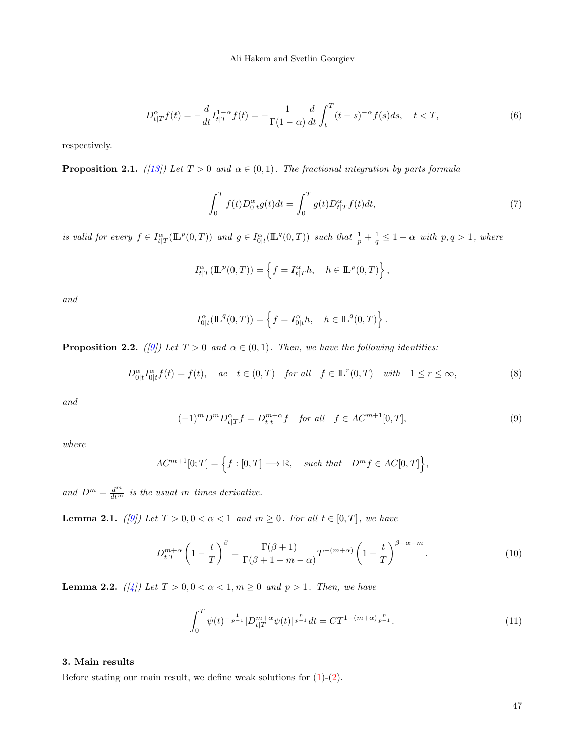$$
D_{t|T}^{\alpha} f(t) = -\frac{d}{dt} I_{t|T}^{1-\alpha} f(t) = -\frac{1}{\Gamma(1-\alpha)} \frac{d}{dt} \int_{t}^{T} (t-s)^{-\alpha} f(s)ds, \quad t < T,
$$
\n(6)

respectively.

**Proposition 2.1.** ([\[13\]](#page-9-8)) Let  $T > 0$  and  $\alpha \in (0, 1)$ . The fractional integration by parts formula

<span id="page-3-2"></span>
$$
\int_0^T f(t)D_{0|t}^{\alpha}g(t)dt = \int_0^T g(t)D_{t|T}^{\alpha}f(t)dt,
$$
\n(7)

is valid for every  $f \in I_{t|T}^{\alpha}(\mathbb{L}^p(0,T))$  and  $g \in I_{0|t}^{\alpha}(\mathbb{L}^q(0,T))$  such that  $\frac{1}{p} + \frac{1}{q} \leq 1 + \alpha$  with  $p, q > 1$ , where

$$
I_{t|T}^{\alpha}(\mathbb{L}^p(0,T)) = \left\{ f = I_{t|T}^{\alpha}h, \quad h \in \mathbb{L}^p(0,T) \right\},\,
$$

and

<span id="page-3-3"></span>
$$
I_{0|t}^{\alpha}(\mathbb{L}^q(0,T)) = \left\{ f = I_{0|t}^{\alpha}h, \quad h \in \mathbb{L}^q(0,T) \right\}.
$$

**Proposition 2.2.** ([\[9\]](#page-9-9)) Let  $T > 0$  and  $\alpha \in (0, 1)$ . Then, we have the following identities:

$$
D_{0|t}^{\alpha} I_{0|t}^{\alpha} f(t) = f(t), \quad ae \quad t \in (0, T) \quad \text{for all} \quad f \in \mathbb{L}^r(0, T) \quad \text{with} \quad 1 \le r \le \infty,
$$
 (8)

<span id="page-3-0"></span>and

$$
(-1)^m D^m D^{\alpha}_{t|T} f = D^{m+\alpha}_{t|t} f \quad \text{for all} \quad f \in AC^{m+1}[0,T], \tag{9}
$$

where

$$
AC^{m+1}[0;T] = \Big\{ f : [0,T] \longrightarrow \mathbb{R}, \quad such \ that \quad D^m f \in AC[0,T] \Big\},\
$$

and  $D^m = \frac{d^m}{dt^m}$  is the usual m times derivative.

**Lemma 2.1.** ([\[9\]](#page-9-9)) Let  $T > 0, 0 < \alpha < 1$  and  $m \ge 0$ . For all  $t \in [0, T]$ , we have

$$
D_{t|T}^{m+\alpha} \left(1 - \frac{t}{T}\right)^{\beta} = \frac{\Gamma(\beta+1)}{\Gamma(\beta+1-m-\alpha)} T^{-(m+\alpha)} \left(1 - \frac{t}{T}\right)^{\beta-\alpha-m}.
$$
 (10)

<span id="page-3-4"></span>**Lemma 2.2.** ([\[4\]](#page-9-1)) Let  $T > 0, 0 < \alpha < 1, m \ge 0$  and  $p > 1$ . Then, we have

<span id="page-3-1"></span>
$$
\int_0^T \psi(t)^{-\frac{1}{p-1}} |D_{t|T}^{m+\alpha} \psi(t)|^{\frac{p}{p-1}} dt = CT^{1-(m+\alpha)\frac{p}{p-1}}.
$$
\n(11)

# 3. Main results

Before stating our main result, we define weak solutions for  $(1)-(2)$  $(1)-(2)$ .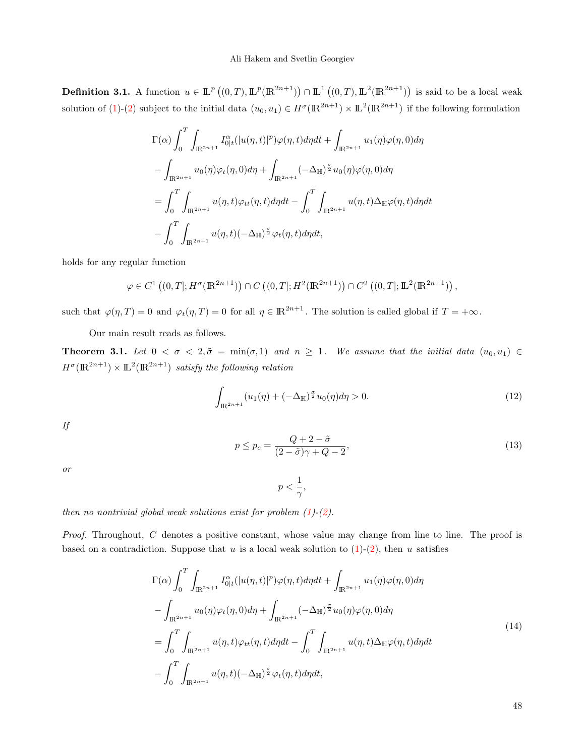**Definition 3.1.** A function  $u \in \mathbb{L}^p((0,T),\mathbb{L}^p(\mathbb{R}^{2n+1})) \cap \mathbb{L}^1((0,T),\mathbb{L}^2(\mathbb{R}^{2n+1}))$  is said to be a local weak solution of [\(1\)](#page-0-0)-[\(2\)](#page-0-1) subject to the initial data  $(u_0, u_1) \in H^{\sigma}(\mathbb{R}^{2n+1}) \times \mathbb{L}^2(\mathbb{R}^{2n+1})$  if the following formulation

$$
\Gamma(\alpha) \int_0^T \int_{\mathbb{R}^{2n+1}} I_{0|t}^{\alpha}(|u(\eta,t)|^p) \varphi(\eta,t) d\eta dt + \int_{\mathbb{R}^{2n+1}} u_1(\eta) \varphi(\eta,0) d\eta
$$
  

$$
- \int_{\mathbb{R}^{2n+1}} u_0(\eta) \varphi_t(\eta,0) d\eta + \int_{\mathbb{R}^{2n+1}} (-\Delta_{\mathbb{H}})^{\frac{\sigma}{2}} u_0(\eta) \varphi(\eta,0) d\eta
$$
  

$$
= \int_0^T \int_{\mathbb{R}^{2n+1}} u(\eta,t) \varphi_{tt}(\eta,t) d\eta dt - \int_0^T \int_{\mathbb{R}^{2n+1}} u(\eta,t) \Delta_{\mathbb{H}} \varphi(\eta,t) d\eta dt
$$
  

$$
- \int_0^T \int_{\mathbb{R}^{2n+1}} u(\eta,t) (-\Delta_{\mathbb{H}})^{\frac{\sigma}{2}} \varphi_t(\eta,t) d\eta dt,
$$

holds for any regular function

$$
\varphi \in C^{1}((0, T]; H^{\sigma}(\mathbb{R}^{2n+1})) \cap C((0, T]; H^{2}(\mathbb{R}^{2n+1})) \cap C^{2}((0, T]; \mathbb{L}^{2}(\mathbb{R}^{2n+1})) ,
$$

such that  $\varphi(\eta, T) = 0$  and  $\varphi_t(\eta, T) = 0$  for all  $\eta \in \mathbb{R}^{2n+1}$ . The solution is called global if  $T = +\infty$ .

Our main result reads as follows.

<span id="page-4-3"></span>**Theorem 3.1.** Let  $0 < \sigma < 2, \tilde{\sigma} = \min(\sigma, 1)$  and  $n \ge 1$ . We assume that the initial data  $(u_0, u_1) \in$  $H^{\sigma}(\mathbb{R}^{2n+1}) \times \mathbb{L}^{2}(\mathbb{R}^{2n+1})$  satisfy the following relation

<span id="page-4-1"></span>
$$
\int_{\mathbb{R}^{2n+1}} (u_1(\eta) + (-\Delta_{\mathbb{H}})^{\frac{\sigma}{2}} u_0(\eta) d\eta > 0.
$$
 (12)

<span id="page-4-2"></span>If

$$
p \le p_c = \frac{Q + 2 - \tilde{\sigma}}{(2 - \tilde{\sigma})\gamma + Q - 2},\tag{13}
$$

or

<span id="page-4-0"></span>
$$
p<\frac{1}{\gamma},
$$

then no nontrivial global weak solutions exist for problem  $(1)-(2)$  $(1)-(2)$  $(1)-(2)$ .

Proof. Throughout, C denotes a positive constant, whose value may change from line to line. The proof is based on a contradiction. Suppose that u is a local weak solution to  $(1)-(2)$  $(1)-(2)$ , then u satisfies

$$
\Gamma(\alpha) \int_0^T \int_{\mathbb{R}^{2n+1}} I_{0|t}^{\alpha} (|u(\eta, t)|^p) \varphi(\eta, t) d\eta dt + \int_{\mathbb{R}^{2n+1}} u_1(\eta) \varphi(\eta, 0) d\eta
$$
  

$$
- \int_{\mathbb{R}^{2n+1}} u_0(\eta) \varphi_t(\eta, 0) d\eta + \int_{\mathbb{R}^{2n+1}} (-\Delta_{\mathbb{H}})^{\frac{\sigma}{2}} u_0(\eta) \varphi(\eta, 0) d\eta
$$
  

$$
= \int_0^T \int_{\mathbb{R}^{2n+1}} u(\eta, t) \varphi_{tt}(\eta, t) d\eta dt - \int_0^T \int_{\mathbb{R}^{2n+1}} u(\eta, t) \Delta_{\mathbb{H}} \varphi(\eta, t) d\eta dt
$$
  

$$
- \int_0^T \int_{\mathbb{R}^{2n+1}} u(\eta, t) (-\Delta_{\mathbb{H}})^{\frac{\sigma}{2}} \varphi_t(\eta, t) d\eta dt,
$$
 (14)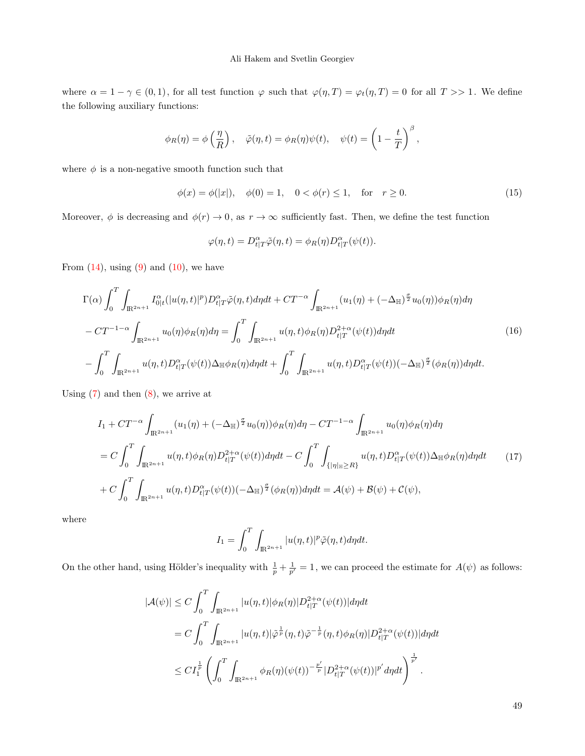where  $\alpha = 1 - \gamma \in (0, 1)$ , for all test function  $\varphi$  such that  $\varphi(\eta, T) = \varphi_t(\eta, T) = 0$  for all  $T >> 1$ . We define the following auxiliary functions:

$$
\phi_R(\eta) = \phi\left(\frac{\eta}{R}\right), \quad \tilde{\varphi}(\eta, t) = \phi_R(\eta)\psi(t), \quad \psi(t) = \left(1 - \frac{t}{T}\right)^{\beta},
$$

where  $\phi$  is a non-negative smooth function such that

$$
\phi(x) = \phi(|x|), \quad \phi(0) = 1, \quad 0 < \phi(r) \le 1, \quad \text{for} \quad r \ge 0. \tag{15}
$$

Moreover,  $\phi$  is decreasing and  $\phi(r) \to 0$ , as  $r \to \infty$  sufficiently fast. Then, we define the test function

$$
\varphi(\eta, t) = D_{t|T}^{\alpha} \tilde{\varphi}(\eta, t) = \phi_R(\eta) D_{t|T}^{\alpha}(\psi(t)).
$$

From  $(14)$ , using  $(9)$  and  $(10)$ , we have

$$
\Gamma(\alpha) \int_{0}^{T} \int_{\mathbb{R}^{2n+1}} I_{0|t}^{\alpha} (|u(\eta, t)|^{p}) D_{t|T}^{\alpha} \tilde{\varphi}(\eta, t) d\eta dt + CT^{-\alpha} \int_{\mathbb{R}^{2n+1}} (u_{1}(\eta) + (-\Delta_{\mathbb{H}})^{\frac{\sigma}{2}} u_{0}(\eta)) \phi_{R}(\eta) d\eta \n- CT^{-1-\alpha} \int_{\mathbb{R}^{2n+1}} u_{0}(\eta) \phi_{R}(\eta) d\eta = \int_{0}^{T} \int_{\mathbb{R}^{2n+1}} u(\eta, t) \phi_{R}(\eta) D_{t|T}^{2+\alpha} (\psi(t)) d\eta dt \n- \int_{0}^{T} \int_{\mathbb{R}^{2n+1}} u(\eta, t) D_{t|T}^{\alpha} (\psi(t)) \Delta_{\mathbb{H}} \phi_{R}(\eta) d\eta dt + \int_{0}^{T} \int_{\mathbb{R}^{2n+1}} u(\eta, t) D_{t|T}^{\alpha} (\psi(t)) (-\Delta_{\mathbb{H}})^{\frac{\sigma}{2}} (\phi_{R}(\eta)) d\eta dt.
$$
\n(16)

Using  $(7)$  and then  $(8)$ , we arrive at

<span id="page-5-0"></span>
$$
I_1 + CT^{-\alpha} \int_{\mathbb{R}^{2n+1}} (u_1(\eta) + (-\Delta_{\mathbb{H}})^{\frac{\sigma}{2}} u_0(\eta)) \phi_R(\eta) d\eta - CT^{-1-\alpha} \int_{\mathbb{R}^{2n+1}} u_0(\eta) \phi_R(\eta) d\eta
$$
  
= 
$$
C \int_0^T \int_{\mathbb{R}^{2n+1}} u(\eta, t) \phi_R(\eta) D_{t|T}^{2+\alpha} (\psi(t)) d\eta dt - C \int_0^T \int_{\{|\eta|_{\mathbb{H}} \ge R\}} u(\eta, t) D_{t|T}^{\alpha} (\psi(t)) \Delta_{\mathbb{H}} \phi_R(\eta) d\eta dt \qquad (17)
$$
  
+ 
$$
C \int_0^T \int_{\mathbb{R}^{2n+1}} u(\eta, t) D_{t|T}^{\alpha} (\psi(t)) (-\Delta_{\mathbb{H}})^{\frac{\sigma}{2}} (\phi_R(\eta)) d\eta dt = \mathcal{A}(\psi) + \mathcal{B}(\psi) + \mathcal{C}(\psi),
$$

where

$$
I_1 = \int_0^T \int_{\mathbb{R}^{2n+1}} |u(\eta, t)|^p \tilde{\varphi}(\eta, t) d\eta dt.
$$

On the other hand, using Hölder's inequality with  $\frac{1}{p} + \frac{1}{p'} = 1$ , we can proceed the estimate for  $A(\psi)$  as follows:

$$
|\mathcal{A}(\psi)| \le C \int_0^T \int_{\mathbb{R}^{2n+1}} |u(\eta, t)| \phi_R(\eta) |D_{t|T}^{2+\alpha}(\psi(t))| d\eta dt
$$
  
\n
$$
= C \int_0^T \int_{\mathbb{R}^{2n+1}} |u(\eta, t)| \tilde{\varphi}^{\frac{1}{p}}(\eta, t) \tilde{\varphi}^{-\frac{1}{p}}(\eta, t) \phi_R(\eta) |D_{t|T}^{2+\alpha}(\psi(t))| d\eta dt
$$
  
\n
$$
\le C I_1^{\frac{1}{p}} \left( \int_0^T \int_{\mathbb{R}^{2n+1}} \phi_R(\eta) (\psi(t))^{-\frac{p'}{p}} |D_{t|T}^{2+\alpha}(\psi(t))|^{p'} d\eta dt \right)^{\frac{1}{p'}}.
$$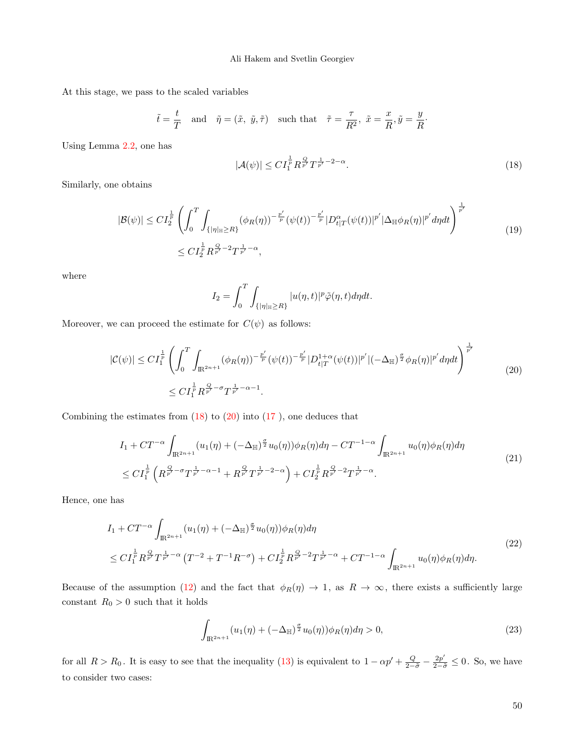At this stage, we pass to the scaled variables

<span id="page-6-0"></span>
$$
\tilde{t} = \frac{t}{T}
$$
 and  $\tilde{\eta} = (\tilde{x}, \tilde{y}, \tilde{\tau})$  such that  $\tilde{\tau} = \frac{\tau}{R^2}, \tilde{x} = \frac{x}{R}, \tilde{y} = \frac{y}{R}$ .

Using Lemma [2.2,](#page-3-4) one has

$$
|\mathcal{A}(\psi)| \le C I_1^{\frac{1}{p}} R^{\frac{Q}{p'}} T^{\frac{1}{p'} - 2 - \alpha}.
$$
 (18)

Similarly, one obtains

$$
|\mathcal{B}(\psi)| \leq C I_2^{\frac{1}{p}} \left( \int_0^T \int_{\{|\eta|_{\mathbb{H}} \geq R\}} (\phi_R(\eta))^{-\frac{p'}{p}} (\psi(t))^{-\frac{p'}{p}} |D_{t|T}^{\alpha} (\psi(t))|^{p'} |\Delta_{\mathbb{H}} \phi_R(\eta)|^{p'} d\eta dt \right)^{\frac{1}{p'}} \leq C I_2^{\frac{1}{p}} R^{\frac{Q}{p'} - 2} T^{\frac{1}{p'} - \alpha}, \tag{19}
$$

where

<span id="page-6-1"></span>
$$
I_2 = \int_0^T \int_{\{|\eta| \le R\}} |u(\eta, t)|^p \tilde{\varphi}(\eta, t) d\eta dt.
$$

Moreover, we can proceed the estimate for  $C(\psi)$  as follows:

$$
|\mathcal{C}(\psi)| \leq CI_{1}^{\frac{1}{p}} \left( \int_{0}^{T} \int_{\mathbb{R}^{2n+1}} (\phi_{R}(\eta))^{-\frac{p'}{p}} (\psi(t))^{-\frac{p'}{p}} |D_{t|T}^{1+\alpha}(\psi(t))|^{p'} |(-\Delta_{\mathbb{H}})^{\frac{\sigma}{2}} \phi_{R}(\eta)|^{p'} d\eta dt \right)^{\frac{1}{p'}} \leq CI_{1}^{\frac{1}{p}} R^{\frac{Q}{p'} - \sigma} T^{\frac{1}{p'} - \alpha - 1}.
$$
\n(20)

Combining the estimates from  $(18)$  to  $(20)$  into  $(17)$ , one deduces that

$$
I_{1} + CT^{-\alpha} \int_{\mathbb{R}^{2n+1}} (u_{1}(\eta) + (-\Delta_{\mathbb{H}})^{\frac{\sigma}{2}} u_{0}(\eta)) \phi_{R}(\eta) d\eta - CT^{-1-\alpha} \int_{\mathbb{R}^{2n+1}} u_{0}(\eta) \phi_{R}(\eta) d\eta
$$
  

$$
\leq C I_{1}^{\frac{1}{p}} \left( R^{\frac{Q}{p'} - \sigma} T^{\frac{1}{p'} - \alpha - 1} + R^{\frac{Q}{p'}} T^{\frac{1}{p'} - 2 - \alpha} \right) + C I_{2}^{\frac{1}{p}} R^{\frac{Q}{p'} - 2} T^{\frac{1}{p'} - \alpha}.
$$
 (21)

Hence, one has

<span id="page-6-2"></span>
$$
I_{1} + CT^{-\alpha} \int_{\mathbb{R}^{2n+1}} (u_{1}(\eta) + (-\Delta_{\mathbb{H}})^{\frac{\sigma}{2}} u_{0}(\eta)) \phi_{R}(\eta) d\eta
$$
  
\n
$$
\leq C I_{1}^{\frac{1}{p}} R_{p}^{\frac{Q}{p'}} T_{p}^{\frac{1}{p'} - \alpha} (T^{-2} + T^{-1} R^{-\sigma}) + C I_{2}^{\frac{1}{p}} R_{p}^{\frac{Q}{p'} - 2} T_{p}^{\frac{1}{p'} - \alpha} + CT^{-1-\alpha} \int_{\mathbb{R}^{2n+1}} u_{0}(\eta) \phi_{R}(\eta) d\eta.
$$
\n(22)

Because of the assumption [\(12\)](#page-4-1) and the fact that  $\phi_R(\eta) \to 1$ , as  $R \to \infty$ , there exists a sufficiently large constant  $R_0 > 0$  such that it holds

<span id="page-6-3"></span>
$$
\int_{\mathbb{R}^{2n+1}} (u_1(\eta) + (-\Delta_{\mathbb{H}})^{\frac{\sigma}{2}} u_0(\eta)) \phi_R(\eta) d\eta > 0,
$$
\n(23)

for all  $R > R_0$ . It is easy to see that the inequality [\(13\)](#page-4-2) is equivalent to  $1 - \alpha p' + \frac{Q}{2-\tilde{\sigma}} - \frac{2p'}{2-\tilde{\sigma}} \leq 0$ . So, we have to consider two cases: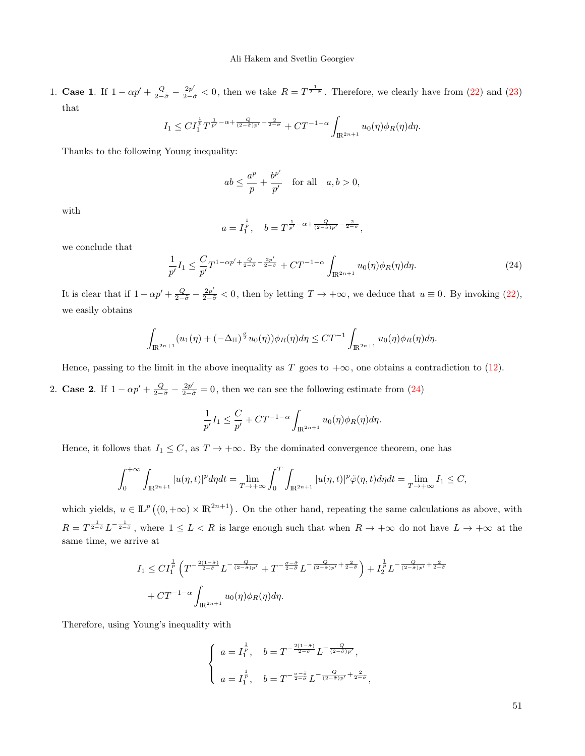1. **Case 1**. If  $1 - \alpha p' + \frac{Q}{2-\tilde{\sigma}} - \frac{2p'}{2-\tilde{\sigma}} < 0$ , then we take  $R = T^{\frac{1}{2-\tilde{\sigma}}}$ . Therefore, we clearly have from [\(22\)](#page-6-2) and [\(23\)](#page-6-3) that

$$
I_1 \leq C I_1^{\frac{1}{p}} T^{\frac{1}{p'}-\alpha+\frac{Q}{(2-\tilde{\sigma})p'}-\frac{2}{2-\tilde{\sigma}}}+ C T^{-1-\alpha}\int_{\mathbb{R}^{2n+1}} u_0(\eta)\phi_R(\eta)d\eta.
$$

Thanks to the following Young inequality:

$$
ab \le \frac{a^p}{p} + \frac{b^{p'}}{p'}
$$
 for all  $a, b > 0$ ,

with

$$
a = I_1^{\frac{1}{p}}, \quad b = T^{\frac{1}{p'} - \alpha + \frac{Q}{(2-\tilde{\sigma})p'} - \frac{2}{2-\tilde{\sigma}}},
$$

we conclude that

<span id="page-7-0"></span>
$$
\frac{1}{p'}I_1 \leq \frac{C}{p'}T^{1-\alpha p' + \frac{Q}{2-\tilde{\sigma}} - \frac{2p'}{2-\tilde{\sigma}}} + CT^{-1-\alpha} \int_{\mathbb{R}^{2n+1}} u_0(\eta) \phi_R(\eta) d\eta.
$$
 (24)

It is clear that if  $1 - \alpha p' + \frac{Q}{2-\tilde{\sigma}} - \frac{2p'}{2-\tilde{\sigma}} < 0$ , then by letting  $T \to +\infty$ , we deduce that  $u \equiv 0$ . By invoking [\(22\)](#page-6-2), we easily obtains

$$
\int_{\mathbb{R}^{2n+1}} (u_1(\eta) + (-\Delta_{\mathbb{H}})^{\frac{\sigma}{2}} u_0(\eta)) \phi_R(\eta) d\eta \leq C T^{-1} \int_{\mathbb{R}^{2n+1}} u_0(\eta) \phi_R(\eta) d\eta.
$$

Hence, passing to the limit in the above inequality as T goes to  $+\infty$ , one obtains a contradiction to [\(12\)](#page-4-1).

2. **Case 2**. If  $1 - \alpha p' + \frac{Q}{2-\tilde{\sigma}} - \frac{2p'}{2-\tilde{\sigma}} = 0$ , then we can see the following estimate from [\(24\)](#page-7-0)

$$
\frac{1}{p'}I_1 \leq \frac{C}{p'} + CT^{-1-\alpha} \int_{\mathbb{R}^{2n+1}} u_0(\eta) \phi_R(\eta) d\eta.
$$

Hence, it follows that  $I_1 \leq C$ , as  $T \to +\infty$ . By the dominated convergence theorem, one has

$$
\int_0^{+\infty} \int_{\mathbb{R}^{2n+1}} |u(\eta, t)|^p d\eta dt = \lim_{T \to +\infty} \int_0^T \int_{\mathbb{R}^{2n+1}} |u(\eta, t)|^p \tilde{\varphi}(\eta, t) d\eta dt = \lim_{T \to +\infty} I_1 \le C,
$$

which yields,  $u \in \mathbb{L}^p((0, +\infty) \times \mathbb{R}^{2n+1})$ . On the other hand, repeating the same calculations as above, with  $R = T^{\frac{1}{2-\tilde{\sigma}}} L^{-\frac{1}{2-\tilde{\sigma}}}$ , where  $1 \leq L < R$  is large enough such that when  $R \to +\infty$  do not have  $L \to +\infty$  at the same time, we arrive at

$$
I_1 \leq C I_1^{\frac{1}{p}} \left( T^{-\frac{2(1-\tilde{\sigma})}{2-\tilde{\sigma}}} L^{-\frac{Q}{(2-\tilde{\sigma})p'}} + T^{-\frac{\sigma-\tilde{\sigma}}{2-\tilde{\sigma}}} L^{-\frac{Q}{(2-\tilde{\sigma})p'} + \frac{2}{2-\tilde{\sigma}}} \right) + I_2^{\frac{1}{p}} L^{-\frac{Q}{(2-\tilde{\sigma})p'} + \frac{2}{2-\tilde{\sigma}}} + CT^{-1-\alpha} \int_{\mathbb{R}^{2n+1}} u_0(\eta) \phi_R(\eta) d\eta.
$$

Therefore, using Young's inequality with

$$
\left\{ \begin{array}{ll} a=I_{1}^{\frac{1}{p}}, & b=T^{-\frac{2(1-\tilde{\sigma})}{2-\tilde{\sigma}}}L^{-\frac{Q}{(2-\tilde{\sigma})p'}}, \\ \\ a=I_{1}^{\frac{1}{p}}, & b=T^{-\frac{\sigma-\tilde{\sigma}}{2-\tilde{\sigma}}}L^{-\frac{Q}{(2-\tilde{\sigma})p'}+\frac{2}{2-\tilde{\sigma}}}, \end{array} \right.
$$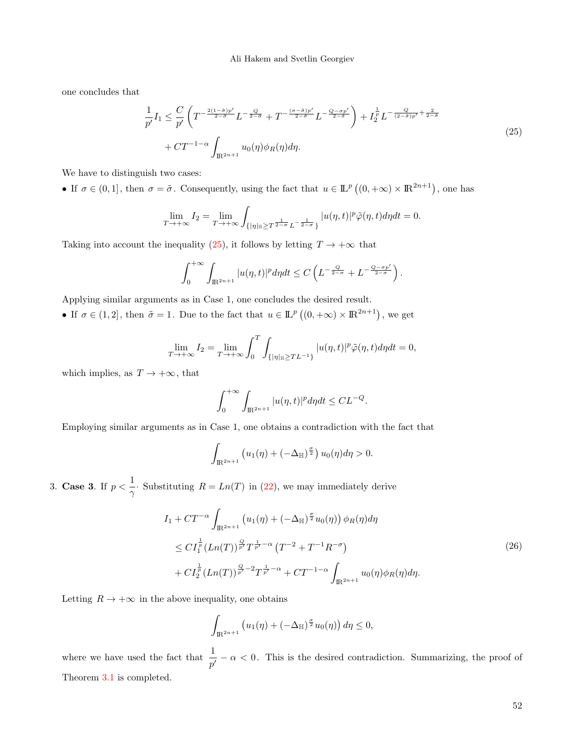### Ali Hakem and Svetlin Georgiev

one concludes that

<span id="page-8-0"></span>
$$
\frac{1}{p'}I_1 \leq \frac{C}{p'}\left(T^{-\frac{2(1-\delta)p'}{2-\delta}}L^{-\frac{Q}{2-\delta}} + T^{-\frac{(\sigma-\delta)p'}{2-\delta}}L^{-\frac{Q-\sigma p'}{2-\delta}}\right) + I_2^{\frac{1}{p}}L^{-\frac{Q}{(2-\delta)p'} + \frac{2}{2-\delta}}
$$
\n
$$
+ CT^{-1-\alpha}\int_{\mathbb{R}^{2n+1}} u_0(\eta)\phi_R(\eta)d\eta.
$$
\n(25)

We have to distinguish two cases:

• If  $\sigma \in (0,1]$ , then  $\sigma = \tilde{\sigma}$ . Consequently, using the fact that  $u \in \mathbb{L}^p((0,+\infty) \times \mathbb{R}^{2n+1})$ , one has

$$
\lim_{T \to +\infty} I_2 = \lim_{T \to +\infty} \int_{\{|\eta|_{\mathbb{H}} \ge T^{\frac{1}{2-\sigma}} L^{-\frac{1}{2-\sigma}}\}} |u(\eta, t)|^p \tilde{\varphi}(\eta, t) d\eta dt = 0.
$$

Taking into account the inequality [\(25\)](#page-8-0), it follows by letting  $T \to +\infty$  that

$$
\int_0^{+\infty} \int_{\mathbb{R}^{2n+1}} |u(\eta,t)|^p d\eta dt \leq C \left( L^{-\frac{Q}{2-\sigma}} + L^{-\frac{Q-\sigma p'}{2-\sigma}} \right).
$$

Applying similar arguments as in Case 1, one concludes the desired result.

• If  $\sigma \in (1,2]$ , then  $\tilde{\sigma} = 1$ . Due to the fact that  $u \in \mathbb{L}^p((0,+\infty) \times \mathbb{R}^{2n+1})$ , we get

$$
\lim_{T \to +\infty} I_2 = \lim_{T \to +\infty} \int_0^T \int_{\{|\eta| \le T} L^{-1}\}} |u(\eta, t)|^p \tilde{\varphi}(\eta, t) d\eta dt = 0,
$$

which implies, as  $T \to +\infty$ , that

$$
\int_0^{+\infty} \int_{\mathbb{R}^{2n+1}} |u(\eta, t)|^p d\eta dt \leq CL^{-Q}.
$$

Employing similar arguments as in Case 1, one obtains a contradiction with the fact that

$$
\int_{\mathbb{R}^{2n+1}} \left( u_1(\eta) + \left( -\Delta_{\mathbb{H}} \right)^{\frac{\sigma}{2}} \right) u_0(\eta) d\eta > 0.
$$

3. Case 3. If  $p < \frac{1}{1}$  $\frac{1}{\gamma}$ . Substituting  $R = Ln(T)$  in [\(22\)](#page-6-2), we may immediately derive

$$
I_1 + CT^{-\alpha} \int_{\mathbb{R}^{2n+1}} \left( u_1(\eta) + \left( -\Delta_{\mathbb{H}} \right)^{\frac{\sigma}{2}} u_0(\eta) \right) \phi_R(\eta) d\eta
$$
  
\n
$$
\leq C I_1^{\frac{1}{p}} (Ln(T))^{\frac{Q}{p'}} T^{\frac{1}{p'} - \alpha} (T^{-2} + T^{-1} R^{-\sigma})
$$
  
\n
$$
+ C I_2^{\frac{1}{p}} (Ln(T))^{\frac{Q}{p'} - 2} T^{\frac{1}{p'} - \alpha} + CT^{-1 - \alpha} \int_{\mathbb{R}^{2n+1}} u_0(\eta) \phi_R(\eta) d\eta.
$$
\n(26)

Letting  $R \to +\infty$  in the above inequality, one obtains

$$
\int_{\mathbb{R}^{2n+1}} \left( u_1(\eta) + \left( -\Delta_{\mathbb{H}} \right)^{\frac{\sigma}{2}} u_0(\eta) \right) d\eta \le 0,
$$

where we have used the fact that  $\frac{1}{p'} - \alpha < 0$ . This is the desired contradiction. Summarizing, the proof of Theorem [3.1](#page-4-3) is completed.